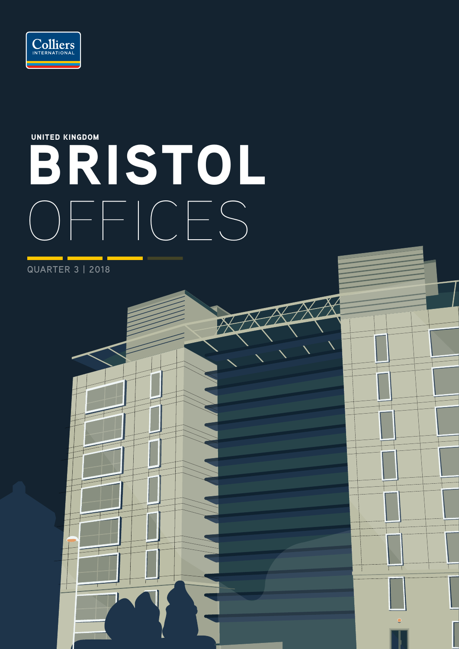

# BRISTOL OFFICES UNITED KINGDOM

Т

**QUARTER 3 | 2018**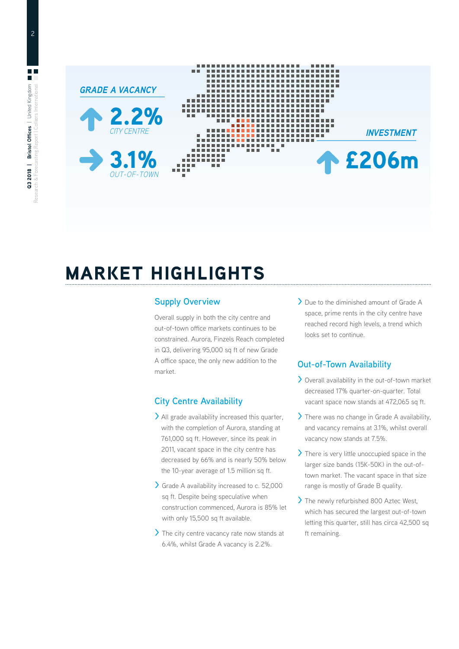

# MARKET HIGHLIGHTS

# **Supply Overview**

Overall supply in both the city centre and out-of-town office markets continues to be constrained. Aurora, Finzels Reach completed in Q3, delivering 95,000 sq ft of new Grade A office space, the only new addition to the market.

# **City Centre Availability**

- **>** All grade availability increased this quarter, with the completion of Aurora, standing at 761,000 sq ft. However, since its peak in 2011, vacant space in the city centre has decreased by 66% and is nearly 50% below the 10-year average of 1.5 million sq ft.
- **>** Grade A availability increased to c. 52,000 sq ft. Despite being speculative when construction commenced, Aurora is 85% let with only 15,500 sq ft available.
- **>** The city centre vacancy rate now stands at 6.4%, whilst Grade A vacancy is 2.2%.

**>** Due to the diminished amount of Grade A space, prime rents in the city centre have reached record high levels, a trend which looks set to continue.

# **Out-of-Town Availability**

- **>** Overall availability in the out-of-town market decreased 17% quarter-on-quarter. Total vacant space now stands at 472,065 sq ft.
- **>** There was no change in Grade A availability, and vacancy remains at 3.1%, whilst overall vacancy now stands at 7.5%.
- **>** There is very little unoccupied space in the larger size bands (15K-50K) in the out-oftown market. The vacant space in that size range is mostly of Grade B quality.
- **>** The newly refurbished 800 Aztec West, which has secured the largest out-of-town letting this quarter, still has circa 42,500 sq ft remaining.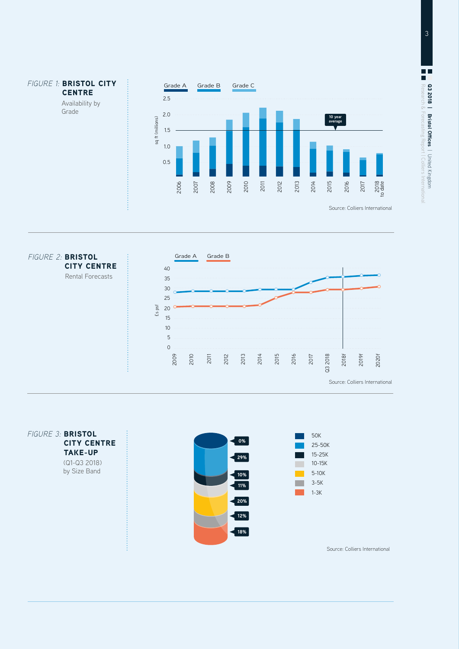



*FIGURE 3:* BRISTOL CITY CENTRE TAKE-UP (Q1-Q3 2018) by Size Band

**CENTRE** 

Availability by Grade



Source: Colliers International

25-50K 15-25K 10-15K 5-10K 3-5K 1-3K

50K

**Tarix**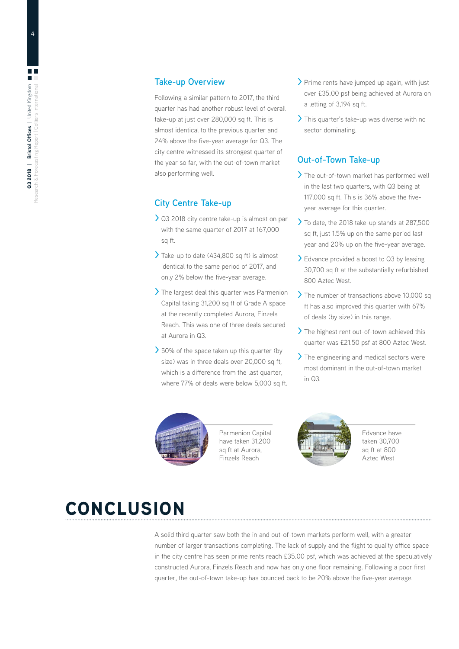### **Take-up Overview**

Following a similar pattern to 2017, the third quarter has had another robust level of overall take-up at just over 280,000 sq ft. This is almost identical to the previous quarter and 24% above the five-year average for Q3. The city centre witnessed its strongest quarter of the year so far, with the out-of-town market also performing well.

### **City Centre Take-up**

- **>** Q3 2018 city centre take-up is almost on par with the same quarter of 2017 at 167,000 sq ft.
- **>** Take-up to date (434,800 sq ft) is almost identical to the same period of 2017, and only 2% below the five-year average.
- **>** The largest deal this quarter was Parmenion Capital taking 31,200 sq ft of Grade A space at the recently completed Aurora, Finzels Reach. This was one of three deals secured at Aurora in Q3.
- **>** 50% of the space taken up this quarter (by size) was in three deals over 20,000 sq ft. which is a difference from the last quarter, where 77% of deals were below 5,000 sq ft.
- **>** Prime rents have jumped up again, with just over £35.00 psf being achieved at Aurora on a letting of 3,194 sq ft.
- **>** This quarter's take-up was diverse with no sector dominating.

# **Out-of-Town Take-up**

- **>** The out-of-town market has performed well in the last two quarters, with Q3 being at 117,000 sq ft. This is 36% above the fiveyear average for this quarter.
- **>** To date, the 2018 take-up stands at 287,500 sq ft, just 1.5% up on the same period last year and 20% up on the five-year average.
- **>** Edvance provided a boost to Q3 by leasing 30,700 sq ft at the substantially refurbished 800 Aztec West.
- **>** The number of transactions above 10,000 sq ft has also improved this quarter with 67% of deals (by size) in this range.
- **>** The highest rent out-of-town achieved this quarter was £21.50 psf at 800 Aztec West.
- **>** The engineering and medical sectors were most dominant in the out-of-town market  $in \Omega$ 3.



Parmenion Capital have taken 31,200 sq ft at Aurora. Finzels Reach



Edvance have taken 30,700 sq ft at 800 Aztec West

# CONCLUSION

A solid third quarter saw both the in and out-of-town markets perform well, with a greater number of larger transactions completing. The lack of supply and the flight to quality office space in the city centre has seen prime rents reach £35.00 psf, which was achieved at the speculatively constructed Aurora, Finzels Reach and now has only one floor remaining. Following a poor first quarter, the out-of-town take-up has bounced back to be 20% above the five-year average.

4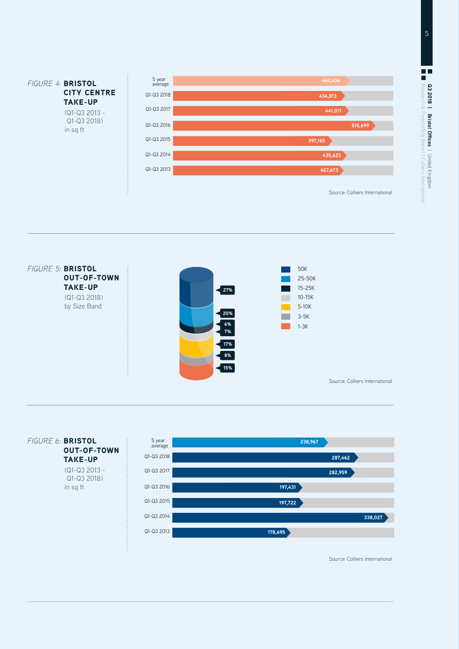





Source: Colliers International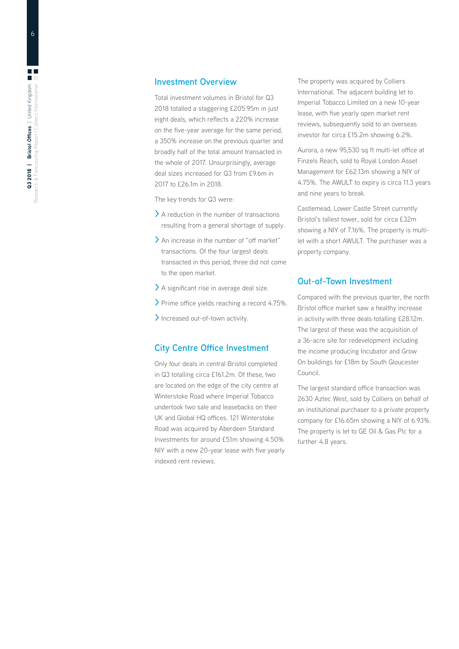### **Investment Overview**

Total investment volumes in Bristol for Q3 2018 totalled a staggering £205.95m in just eight deals, which reflects a 220% increase on the five-year average for the same period, a 350% increase on the previous quarter and broadly half of the total amount transacted in the whole of 2017. Unsurprisingly, average deal sizes increased for Q3 from £9.6m in 2017 to £26.1m in 2018.

The key trends for Q3 were:

- **>** A reduction in the number of transactions resulting from a general shortage of supply.
- **>** An increase in the number of "off market" transactions. Of the four largest deals transacted in this period, three did not come to the open market.
- **>** A significant rise in average deal size.
- **>** Prime office yields reaching a record 4.75%.
- **>** Increased out-of-town activity.

### **City Centre Office Investment**

Only four deals in central Bristol completed in Q3 totalling circa £161.2m. Of these, two are located on the edge of the city centre at Winterstoke Road where Imperial Tobacco undertook two sale and leasebacks on their UK and Global HQ offices. 121 Winterstoke Road was acquired by Aberdeen Standard Investments for around £51m showing 4.50% NIY with a new 20-year lease with five yearly indexed rent reviews.

The property was acquired by Colliers International. The adjacent building let to Imperial Tobacco Limited on a new 10-year lease, with five yearly open market rent reviews, subsequently sold to an overseas investor for circa £15.2m showing 6.2%.

Aurora, a new 95,530 sq ft multi-let office at Finzels Reach, sold to Royal London Asset Management for £62.13m showing a NIY of 4.75%. The AWULT to expiry is circa 11.3 years and nine years to break.

Castlemead, Lower Castle Street currently Bristol's tallest tower, sold for circa £32m showing a NIY of 7.16%. The property is multilet with a short AWULT. The purchaser was a property company.

### **Out-of-Town Investment**

Compared with the previous quarter, the north Bristol office market saw a healthy increase in activity with three deals totalling £28.12m. The largest of these was the acquisition of a 36-acre site for redevelopment including the income producing Incubator and Grow On buildings for £18m by South Gloucester Council.

The largest standard office transaction was 2630 Aztec West, sold by Colliers on behalf of an institutional purchaser to a private property company for £16.65m showing a NIY of 6.93%. The property is let to GE Oil & Gas Plc for a further 4.8 years.

 $6\overline{6}$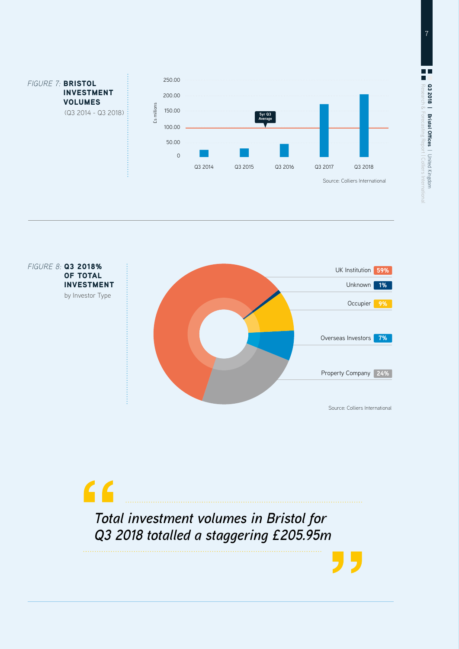





7